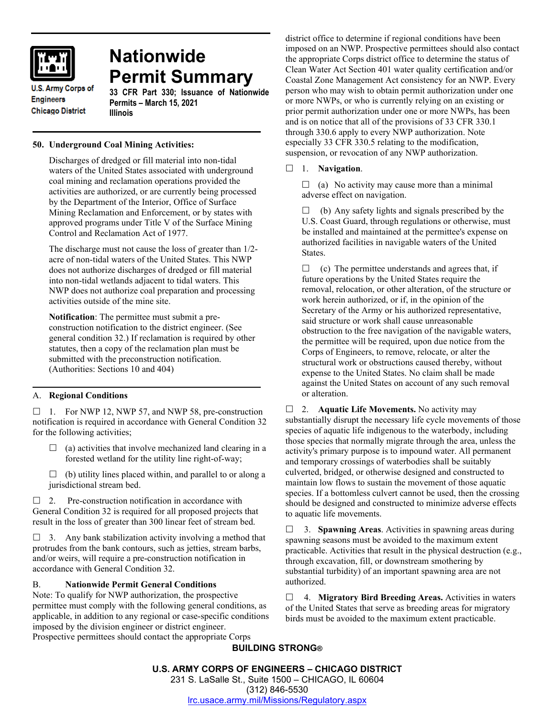

# **Nationwide Permit Summary**

**U.S. Army Corps of Engineers Chicago District** 

#### **33 CFR Part 330; Issuance of Nationwide Permits – March 15, 2021 Illinois**

# **50. Underground Coal Mining Activities:**

Discharges of dredged or fill material into non-tidal waters of the United States associated with underground coal mining and reclamation operations provided the activities are authorized, or are currently being processed by the Department of the Interior, Office of Surface Mining Reclamation and Enforcement, or by states with approved programs under Title V of the Surface Mining Control and Reclamation Act of 1977.

The discharge must not cause the loss of greater than 1/2 acre of non-tidal waters of the United States. This NWP does not authorize discharges of dredged or fill material into non-tidal wetlands adjacent to tidal waters. This NWP does not authorize coal preparation and processing activities outside of the mine site.

**Notification**: The permittee must submit a preconstruction notification to the district engineer. (See general condition 32.) If reclamation is required by other statutes, then a copy of the reclamation plan must be submitted with the preconstruction notification. (Authorities: Sections 10 and 404)

# A. **Regional Conditions**

 $\Box$  1. For NWP 12, NWP 57, and NWP 58, pre-construction notification is required in accordance with General Condition 32 for the following activities;

- $\Box$  (a) activities that involve mechanized land clearing in a forested wetland for the utility line right-of-way;
- $\Box$  (b) utility lines placed within, and parallel to or along a jurisdictional stream bed.

 $\Box$  2. Pre-construction notification in accordance with General Condition 32 is required for all proposed projects that result in the loss of greater than 300 linear feet of stream bed.

 $\Box$  3. Any bank stabilization activity involving a method that protrudes from the bank contours, such as jetties, stream barbs, and/or weirs, will require a pre-construction notification in accordance with General Condition 32.

# B. **Nationwide Permit General Conditions**

Note: To qualify for NWP authorization, the prospective permittee must comply with the following general conditions, as applicable, in addition to any regional or case-specific conditions imposed by the division engineer or district engineer. Prospective permittees should contact the appropriate Corps

district office to determine if regional conditions have been imposed on an NWP. Prospective permittees should also contact the appropriate Corps district office to determine the status of Clean Water Act Section 401 water quality certification and/or Coastal Zone Management Act consistency for an NWP. Every person who may wish to obtain permit authorization under one or more NWPs, or who is currently relying on an existing or prior permit authorization under one or more NWPs, has been and is on notice that all of the provisions of 33 CFR 330.1 through 330.6 apply to every NWP authorization. Note especially 33 CFR 330.5 relating to the modification, suspension, or revocation of any NWP authorization.

# 1. **Navigation**.

 $\Box$  (a) No activity may cause more than a minimal adverse effect on navigation.

 $\Box$  (b) Any safety lights and signals prescribed by the U.S. Coast Guard, through regulations or otherwise, must be installed and maintained at the permittee's expense on authorized facilities in navigable waters of the United States.

 $\Box$  (c) The permittee understands and agrees that, if future operations by the United States require the removal, relocation, or other alteration, of the structure or work herein authorized, or if, in the opinion of the Secretary of the Army or his authorized representative, said structure or work shall cause unreasonable obstruction to the free navigation of the navigable waters, the permittee will be required, upon due notice from the Corps of Engineers, to remove, relocate, or alter the structural work or obstructions caused thereby, without expense to the United States. No claim shall be made against the United States on account of any such removal or alteration.

□ 2. **Aquatic Life Movements.** No activity may substantially disrupt the necessary life cycle movements of those species of aquatic life indigenous to the waterbody, including those species that normally migrate through the area, unless the activity's primary purpose is to impound water. All permanent and temporary crossings of waterbodies shall be suitably culverted, bridged, or otherwise designed and constructed to maintain low flows to sustain the movement of those aquatic species. If a bottomless culvert cannot be used, then the crossing should be designed and constructed to minimize adverse effects to aquatic life movements.

 3. **Spawning Areas**. Activities in spawning areas during spawning seasons must be avoided to the maximum extent practicable. Activities that result in the physical destruction (e.g., through excavation, fill, or downstream smothering by substantial turbidity) of an important spawning area are not authorized.

 4. **Migratory Bird Breeding Areas.** Activities in waters of the United States that serve as breeding areas for migratory birds must be avoided to the maximum extent practicable.

# **BUILDING STRONG®**

**U.S. ARMY CORPS OF ENGINEERS – CHICAGO DISTRICT** 231 S. LaSalle St., Suite 1500 – CHICAGO, IL 60604 (312) 846-5530 [lrc.usace.army.mil/Missions/Regulatory.aspx](https://www.lrc.usace.army.mil/Missions/Regulatory.aspx)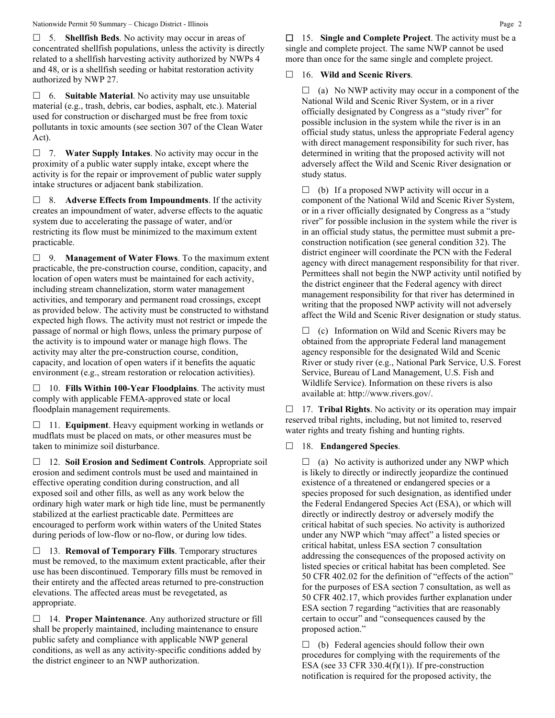5. **Shellfish Beds**. No activity may occur in areas of concentrated shellfish populations, unless the activity is directly related to a shellfish harvesting activity authorized by NWPs 4 and 48, or is a shellfish seeding or habitat restoration activity authorized by NWP 27.

 6. **Suitable Material**. No activity may use unsuitable material (e.g., trash, debris, car bodies, asphalt, etc.). Material used for construction or discharged must be free from toxic pollutants in toxic amounts (see section 307 of the Clean Water Act).

 7. **Water Supply Intakes**. No activity may occur in the proximity of a public water supply intake, except where the activity is for the repair or improvement of public water supply intake structures or adjacent bank stabilization.

 8. **Adverse Effects from Impoundments**. If the activity creates an impoundment of water, adverse effects to the aquatic system due to accelerating the passage of water, and/or restricting its flow must be minimized to the maximum extent practicable.

 9. **Management of Water Flows**. To the maximum extent practicable, the pre-construction course, condition, capacity, and location of open waters must be maintained for each activity, including stream channelization, storm water management activities, and temporary and permanent road crossings, except as provided below. The activity must be constructed to withstand expected high flows. The activity must not restrict or impede the passage of normal or high flows, unless the primary purpose of the activity is to impound water or manage high flows. The activity may alter the pre-construction course, condition, capacity, and location of open waters if it benefits the aquatic environment (e.g., stream restoration or relocation activities).

 10. **Fills Within 100-Year Floodplains**. The activity must comply with applicable FEMA-approved state or local floodplain management requirements.

 11. **Equipment**. Heavy equipment working in wetlands or mudflats must be placed on mats, or other measures must be taken to minimize soil disturbance.

 12. **Soil Erosion and Sediment Controls**. Appropriate soil erosion and sediment controls must be used and maintained in effective operating condition during construction, and all exposed soil and other fills, as well as any work below the ordinary high water mark or high tide line, must be permanently stabilized at the earliest practicable date. Permittees are encouraged to perform work within waters of the United States during periods of low-flow or no-flow, or during low tides.

 13. **Removal of Temporary Fills**. Temporary structures must be removed, to the maximum extent practicable, after their use has been discontinued. Temporary fills must be removed in their entirety and the affected areas returned to pre-construction elevations. The affected areas must be revegetated, as appropriate.

 14. **Proper Maintenance**. Any authorized structure or fill shall be properly maintained, including maintenance to ensure public safety and compliance with applicable NWP general conditions, as well as any activity-specific conditions added by the district engineer to an NWP authorization.

 15. **Single and Complete Project**. The activity must be a single and complete project. The same NWP cannot be used more than once for the same single and complete project.

# 16. **Wild and Scenic Rivers**.

 $\Box$  (a) No NWP activity may occur in a component of the National Wild and Scenic River System, or in a river officially designated by Congress as a "study river" for possible inclusion in the system while the river is in an official study status, unless the appropriate Federal agency with direct management responsibility for such river, has determined in writing that the proposed activity will not adversely affect the Wild and Scenic River designation or study status.

 $\Box$  (b) If a proposed NWP activity will occur in a component of the National Wild and Scenic River System, or in a river officially designated by Congress as a "study river" for possible inclusion in the system while the river is in an official study status, the permittee must submit a preconstruction notification (see general condition 32). The district engineer will coordinate the PCN with the Federal agency with direct management responsibility for that river. Permittees shall not begin the NWP activity until notified by the district engineer that the Federal agency with direct management responsibility for that river has determined in writing that the proposed NWP activity will not adversely affect the Wild and Scenic River designation or study status.

 $\Box$  (c) Information on Wild and Scenic Rivers may be obtained from the appropriate Federal land management agency responsible for the designated Wild and Scenic River or study river (e.g., National Park Service, U.S. Forest Service, Bureau of Land Management, U.S. Fish and Wildlife Service). Information on these rivers is also available at: http://www.rivers.gov/.

 17. **Tribal Rights**. No activity or its operation may impair reserved tribal rights, including, but not limited to, reserved water rights and treaty fishing and hunting rights.

# 18. **Endangered Species**.

 $\Box$  (a) No activity is authorized under any NWP which is likely to directly or indirectly jeopardize the continued existence of a threatened or endangered species or a species proposed for such designation, as identified under the Federal Endangered Species Act (ESA), or which will directly or indirectly destroy or adversely modify the critical habitat of such species. No activity is authorized under any NWP which "may affect" a listed species or critical habitat, unless ESA section 7 consultation addressing the consequences of the proposed activity on listed species or critical habitat has been completed. See 50 CFR 402.02 for the definition of "effects of the action" for the purposes of ESA section 7 consultation, as well as 50 CFR 402.17, which provides further explanation under ESA section 7 regarding "activities that are reasonably certain to occur" and "consequences caused by the proposed action."

 $\Box$  (b) Federal agencies should follow their own procedures for complying with the requirements of the ESA (see 33 CFR 330.4 $(f)(1)$ ). If pre-construction notification is required for the proposed activity, the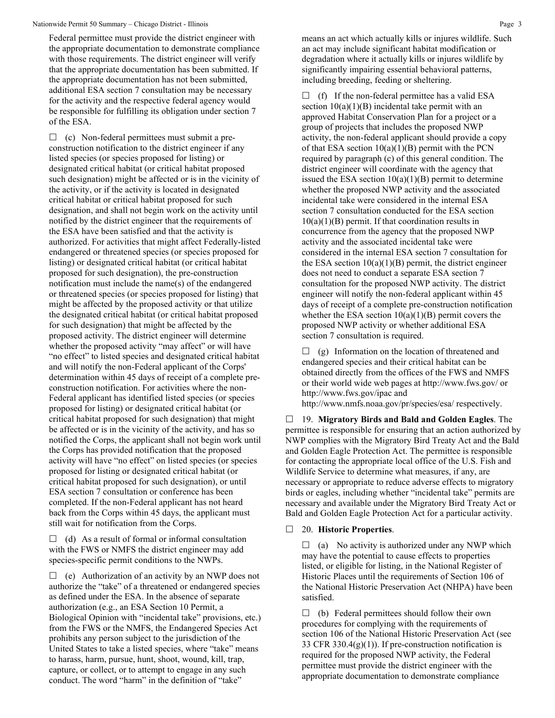Federal permittee must provide the district engineer with the appropriate documentation to demonstrate compliance with those requirements. The district engineer will verify that the appropriate documentation has been submitted. If the appropriate documentation has not been submitted, additional ESA section 7 consultation may be necessary for the activity and the respective federal agency would be responsible for fulfilling its obligation under section 7 of the ESA.

 $\Box$  (c) Non-federal permittees must submit a preconstruction notification to the district engineer if any listed species (or species proposed for listing) or designated critical habitat (or critical habitat proposed such designation) might be affected or is in the vicinity of the activity, or if the activity is located in designated critical habitat or critical habitat proposed for such designation, and shall not begin work on the activity until notified by the district engineer that the requirements of the ESA have been satisfied and that the activity is authorized. For activities that might affect Federally-listed endangered or threatened species (or species proposed for listing) or designated critical habitat (or critical habitat proposed for such designation), the pre-construction notification must include the name(s) of the endangered or threatened species (or species proposed for listing) that might be affected by the proposed activity or that utilize the designated critical habitat (or critical habitat proposed for such designation) that might be affected by the proposed activity. The district engineer will determine whether the proposed activity "may affect" or will have "no effect" to listed species and designated critical habitat and will notify the non-Federal applicant of the Corps' determination within 45 days of receipt of a complete preconstruction notification. For activities where the non-Federal applicant has identified listed species (or species proposed for listing) or designated critical habitat (or critical habitat proposed for such designation) that might be affected or is in the vicinity of the activity, and has so notified the Corps, the applicant shall not begin work until the Corps has provided notification that the proposed activity will have "no effect" on listed species (or species proposed for listing or designated critical habitat (or critical habitat proposed for such designation), or until ESA section 7 consultation or conference has been completed. If the non-Federal applicant has not heard back from the Corps within 45 days, the applicant must still wait for notification from the Corps.

 $\Box$  (d) As a result of formal or informal consultation with the FWS or NMFS the district engineer may add species-specific permit conditions to the NWPs.

 $\Box$  (e) Authorization of an activity by an NWP does not authorize the "take" of a threatened or endangered species as defined under the ESA. In the absence of separate authorization (e.g., an ESA Section 10 Permit, a Biological Opinion with "incidental take" provisions, etc.) from the FWS or the NMFS, the Endangered Species Act prohibits any person subject to the jurisdiction of the United States to take a listed species, where "take" means to harass, harm, pursue, hunt, shoot, wound, kill, trap, capture, or collect, or to attempt to engage in any such conduct. The word "harm" in the definition of "take"

means an act which actually kills or injures wildlife. Such an act may include significant habitat modification or degradation where it actually kills or injures wildlife by significantly impairing essential behavioral patterns, including breeding, feeding or sheltering.

 $\Box$  (f) If the non-federal permittee has a valid ESA section  $10(a)(1)(B)$  incidental take permit with an approved Habitat Conservation Plan for a project or a group of projects that includes the proposed NWP activity, the non-federal applicant should provide a copy of that ESA section  $10(a)(1)(B)$  permit with the PCN required by paragraph (c) of this general condition. The district engineer will coordinate with the agency that issued the ESA section  $10(a)(1)(B)$  permit to determine whether the proposed NWP activity and the associated incidental take were considered in the internal ESA section 7 consultation conducted for the ESA section  $10(a)(1)(B)$  permit. If that coordination results in concurrence from the agency that the proposed NWP activity and the associated incidental take were considered in the internal ESA section 7 consultation for the ESA section  $10(a)(1)(B)$  permit, the district engineer does not need to conduct a separate ESA section 7 consultation for the proposed NWP activity. The district engineer will notify the non-federal applicant within 45 days of receipt of a complete pre-construction notification whether the ESA section  $10(a)(1)(B)$  permit covers the proposed NWP activity or whether additional ESA section 7 consultation is required.

 $\Box$  (g) Information on the location of threatened and endangered species and their critical habitat can be obtained directly from the offices of the FWS and NMFS or their world wide web pages at http://www.fws.gov/ or http://www.fws.gov/ipac and http://www.nmfs.noaa.gov/pr/species/esa/ respectively.

 19. **Migratory Birds and Bald and Golden Eagles**. The permittee is responsible for ensuring that an action authorized by NWP complies with the Migratory Bird Treaty Act and the Bald and Golden Eagle Protection Act. The permittee is responsible for contacting the appropriate local office of the U.S. Fish and Wildlife Service to determine what measures, if any, are necessary or appropriate to reduce adverse effects to migratory birds or eagles, including whether "incidental take" permits are necessary and available under the Migratory Bird Treaty Act or Bald and Golden Eagle Protection Act for a particular activity.

#### 20. **Historic Properties**.

 $\Box$  (a) No activity is authorized under any NWP which may have the potential to cause effects to properties listed, or eligible for listing, in the National Register of Historic Places until the requirements of Section 106 of the National Historic Preservation Act (NHPA) have been satisfied.

 $\Box$  (b) Federal permittees should follow their own procedures for complying with the requirements of section 106 of the National Historic Preservation Act (see 33 CFR 330.4 $(g)(1)$ ). If pre-construction notification is required for the proposed NWP activity, the Federal permittee must provide the district engineer with the appropriate documentation to demonstrate compliance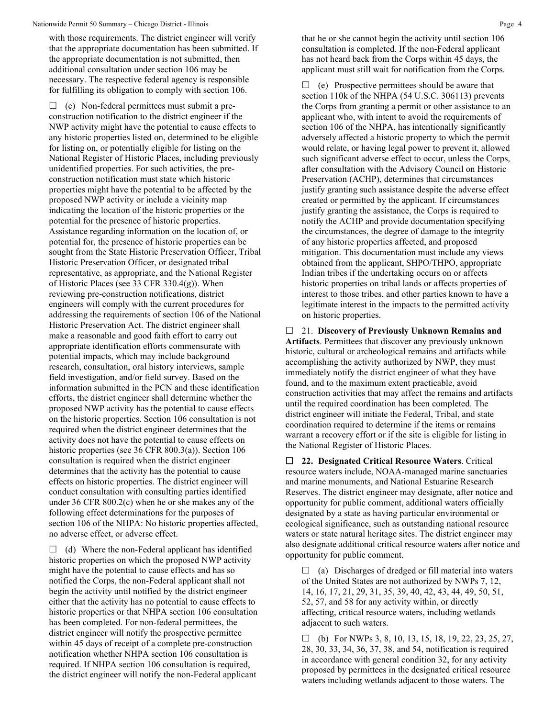with those requirements. The district engineer will verify that the appropriate documentation has been submitted. If the appropriate documentation is not submitted, then additional consultation under section 106 may be necessary. The respective federal agency is responsible for fulfilling its obligation to comply with section 106.

 $\Box$  (c) Non-federal permittees must submit a preconstruction notification to the district engineer if the NWP activity might have the potential to cause effects to any historic properties listed on, determined to be eligible for listing on, or potentially eligible for listing on the National Register of Historic Places, including previously unidentified properties. For such activities, the preconstruction notification must state which historic properties might have the potential to be affected by the proposed NWP activity or include a vicinity map indicating the location of the historic properties or the potential for the presence of historic properties. Assistance regarding information on the location of, or potential for, the presence of historic properties can be sought from the State Historic Preservation Officer, Tribal Historic Preservation Officer, or designated tribal representative, as appropriate, and the National Register of Historic Places (see 33 CFR 330.4(g)). When reviewing pre-construction notifications, district engineers will comply with the current procedures for addressing the requirements of section 106 of the National Historic Preservation Act. The district engineer shall make a reasonable and good faith effort to carry out appropriate identification efforts commensurate with potential impacts, which may include background research, consultation, oral history interviews, sample field investigation, and/or field survey. Based on the information submitted in the PCN and these identification efforts, the district engineer shall determine whether the proposed NWP activity has the potential to cause effects on the historic properties. Section 106 consultation is not required when the district engineer determines that the activity does not have the potential to cause effects on historic properties (see 36 CFR 800.3(a)). Section 106 consultation is required when the district engineer determines that the activity has the potential to cause effects on historic properties. The district engineer will conduct consultation with consulting parties identified under 36 CFR 800.2(c) when he or she makes any of the following effect determinations for the purposes of section 106 of the NHPA: No historic properties affected, no adverse effect, or adverse effect.

 $\Box$  (d) Where the non-Federal applicant has identified historic properties on which the proposed NWP activity might have the potential to cause effects and has so notified the Corps, the non-Federal applicant shall not begin the activity until notified by the district engineer either that the activity has no potential to cause effects to historic properties or that NHPA section 106 consultation has been completed. For non-federal permittees, the district engineer will notify the prospective permittee within 45 days of receipt of a complete pre-construction notification whether NHPA section 106 consultation is required. If NHPA section 106 consultation is required, the district engineer will notify the non-Federal applicant

that he or she cannot begin the activity until section 106 consultation is completed. If the non-Federal applicant has not heard back from the Corps within 45 days, the applicant must still wait for notification from the Corps.

 $\Box$  (e) Prospective permittees should be aware that section 110k of the NHPA (54 U.S.C. 306113) prevents the Corps from granting a permit or other assistance to an applicant who, with intent to avoid the requirements of section 106 of the NHPA, has intentionally significantly adversely affected a historic property to which the permit would relate, or having legal power to prevent it, allowed such significant adverse effect to occur, unless the Corps, after consultation with the Advisory Council on Historic Preservation (ACHP), determines that circumstances justify granting such assistance despite the adverse effect created or permitted by the applicant. If circumstances justify granting the assistance, the Corps is required to notify the ACHP and provide documentation specifying the circumstances, the degree of damage to the integrity of any historic properties affected, and proposed mitigation. This documentation must include any views obtained from the applicant, SHPO/THPO, appropriate Indian tribes if the undertaking occurs on or affects historic properties on tribal lands or affects properties of interest to those tribes, and other parties known to have a legitimate interest in the impacts to the permitted activity on historic properties.

 21. **Discovery of Previously Unknown Remains and Artifacts**. Permittees that discover any previously unknown historic, cultural or archeological remains and artifacts while accomplishing the activity authorized by NWP, they must immediately notify the district engineer of what they have found, and to the maximum extent practicable, avoid construction activities that may affect the remains and artifacts until the required coordination has been completed. The district engineer will initiate the Federal, Tribal, and state coordination required to determine if the items or remains warrant a recovery effort or if the site is eligible for listing in the National Register of Historic Places.

 **22. Designated Critical Resource Waters**. Critical resource waters include, NOAA-managed marine sanctuaries and marine monuments, and National Estuarine Research Reserves. The district engineer may designate, after notice and opportunity for public comment, additional waters officially designated by a state as having particular environmental or ecological significance, such as outstanding national resource waters or state natural heritage sites. The district engineer may also designate additional critical resource waters after notice and opportunity for public comment.

 $\Box$  (a) Discharges of dredged or fill material into waters of the United States are not authorized by NWPs 7, 12, 14, 16, 17, 21, 29, 31, 35, 39, 40, 42, 43, 44, 49, 50, 51, 52, 57, and 58 for any activity within, or directly affecting, critical resource waters, including wetlands adjacent to such waters.

 $\Box$  (b) For NWPs 3, 8, 10, 13, 15, 18, 19, 22, 23, 25, 27, 28, 30, 33, 34, 36, 37, 38, and 54, notification is required in accordance with general condition 32, for any activity proposed by permittees in the designated critical resource waters including wetlands adjacent to those waters. The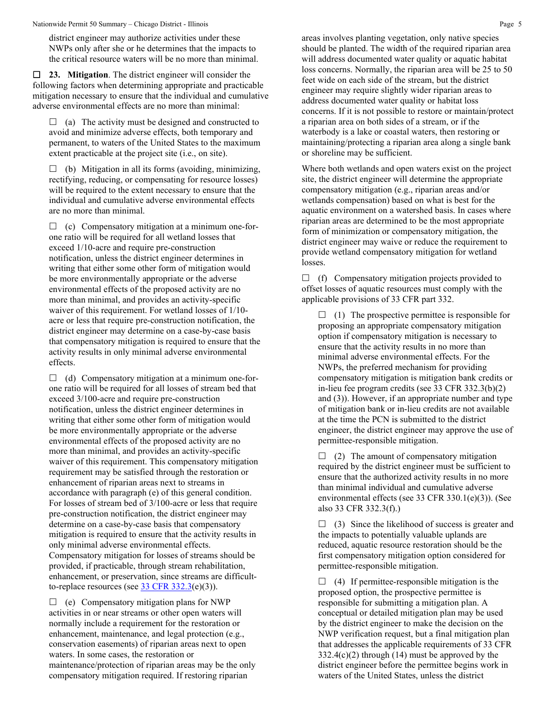district engineer may authorize activities under these NWPs only after she or he determines that the impacts to the critical resource waters will be no more than minimal.

 **23. Mitigation**. The district engineer will consider the following factors when determining appropriate and practicable mitigation necessary to ensure that the individual and cumulative adverse environmental effects are no more than minimal:

 $\Box$  (a) The activity must be designed and constructed to avoid and minimize adverse effects, both temporary and permanent, to waters of the United States to the maximum extent practicable at the project site (i.e., on site).

 $\Box$  (b) Mitigation in all its forms (avoiding, minimizing, rectifying, reducing, or compensating for resource losses) will be required to the extent necessary to ensure that the individual and cumulative adverse environmental effects are no more than minimal.

 $\Box$  (c) Compensatory mitigation at a minimum one-forone ratio will be required for all wetland losses that exceed 1/10-acre and require pre-construction notification, unless the district engineer determines in writing that either some other form of mitigation would be more environmentally appropriate or the adverse environmental effects of the proposed activity are no more than minimal, and provides an activity-specific waiver of this requirement. For wetland losses of 1/10 acre or less that require pre-construction notification, the district engineer may determine on a case-by-case basis that compensatory mitigation is required to ensure that the activity results in only minimal adverse environmental effects.

 $\Box$  (d) Compensatory mitigation at a minimum one-forone ratio will be required for all losses of stream bed that exceed 3/100-acre and require pre-construction notification, unless the district engineer determines in writing that either some other form of mitigation would be more environmentally appropriate or the adverse environmental effects of the proposed activity are no more than minimal, and provides an activity-specific waiver of this requirement. This compensatory mitigation requirement may be satisfied through the restoration or enhancement of riparian areas next to streams in accordance with paragraph (e) of this general condition. For losses of stream bed of 3/100-acre or less that require pre-construction notification, the district engineer may determine on a case-by-case basis that compensatory mitigation is required to ensure that the activity results in only minimal adverse environmental effects. Compensatory mitigation for losses of streams should be provided, if practicable, through stream rehabilitation, enhancement, or preservation, since streams are difficultto-replace resources (see  $33 \text{ CFR } 332.3(e)(3)$ ).

 $\Box$  (e) Compensatory mitigation plans for NWP activities in or near streams or other open waters will normally include a requirement for the restoration or enhancement, maintenance, and legal protection (e.g., conservation easements) of riparian areas next to open waters. In some cases, the restoration or maintenance/protection of riparian areas may be the only compensatory mitigation required. If restoring riparian

areas involves planting vegetation, only native species should be planted. The width of the required riparian area will address documented water quality or aquatic habitat loss concerns. Normally, the riparian area will be 25 to 50 feet wide on each side of the stream, but the district engineer may require slightly wider riparian areas to address documented water quality or habitat loss concerns. If it is not possible to restore or maintain/protect a riparian area on both sides of a stream, or if the waterbody is a lake or coastal waters, then restoring or maintaining/protecting a riparian area along a single bank or shoreline may be sufficient.

Where both wetlands and open waters exist on the project site, the district engineer will determine the appropriate compensatory mitigation (e.g., riparian areas and/or wetlands compensation) based on what is best for the aquatic environment on a watershed basis. In cases where riparian areas are determined to be the most appropriate form of minimization or compensatory mitigation, the district engineer may waive or reduce the requirement to provide wetland compensatory mitigation for wetland losses.

 $\Box$  (f) Compensatory mitigation projects provided to offset losses of aquatic resources must comply with the applicable provisions of 33 CFR part 332.

 $\Box$  (1) The prospective permittee is responsible for proposing an appropriate compensatory mitigation option if compensatory mitigation is necessary to ensure that the activity results in no more than minimal adverse environmental effects. For the NWPs, the preferred mechanism for providing compensatory mitigation is mitigation bank credits or in-lieu fee program credits (see 33 CFR 332.3(b)(2) and (3)). However, if an appropriate number and type of mitigation bank or in-lieu credits are not available at the time the PCN is submitted to the district engineer, the district engineer may approve the use of permittee-responsible mitigation.

 $\Box$  (2) The amount of compensatory mitigation required by the district engineer must be sufficient to ensure that the authorized activity results in no more than minimal individual and cumulative adverse environmental effects (see 33 CFR 330.1(e)(3)). (See also 33 CFR 332.3(f).)

 $\Box$  (3) Since the likelihood of success is greater and the impacts to potentially valuable uplands are reduced, aquatic resource restoration should be the first compensatory mitigation option considered for permittee-responsible mitigation.

 $\Box$  (4) If permittee-responsible mitigation is the proposed option, the prospective permittee is responsible for submitting a mitigation plan. A conceptual or detailed mitigation plan may be used by the district engineer to make the decision on the NWP verification request, but a final mitigation plan that addresses the applicable requirements of 33 CFR  $332.4(c)(2)$  through (14) must be approved by the district engineer before the permittee begins work in waters of the United States, unless the district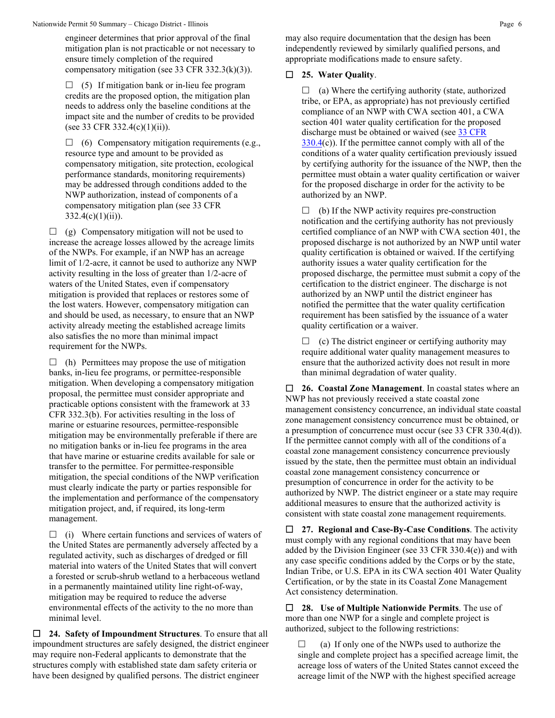engineer determines that prior approval of the final mitigation plan is not practicable or not necessary to ensure timely completion of the required compensatory mitigation (see 33 CFR 332.3(k)(3)).

 $\Box$  (5) If mitigation bank or in-lieu fee program credits are the proposed option, the mitigation plan needs to address only the baseline conditions at the impact site and the number of credits to be provided (see 33 CFR 332.4(c)(1)(ii)).

 $\Box$  (6) Compensatory mitigation requirements (e.g., resource type and amount to be provided as compensatory mitigation, site protection, ecological performance standards, monitoring requirements) may be addressed through conditions added to the NWP authorization, instead of components of a compensatory mitigation plan (see 33 CFR  $332.4(c)(1)(ii)$ ).

 $\Box$  (g) Compensatory mitigation will not be used to increase the acreage losses allowed by the acreage limits of the NWPs. For example, if an NWP has an acreage limit of 1/2-acre, it cannot be used to authorize any NWP activity resulting in the loss of greater than 1/2-acre of waters of the United States, even if compensatory mitigation is provided that replaces or restores some of the lost waters. However, compensatory mitigation can and should be used, as necessary, to ensure that an NWP activity already meeting the established acreage limits also satisfies the no more than minimal impact requirement for the NWPs.

 $\Box$  (h) Permittees may propose the use of mitigation banks, in-lieu fee programs, or permittee-responsible mitigation. When developing a compensatory mitigation proposal, the permittee must consider appropriate and practicable options consistent with the framework at 33 CFR 332.3(b). For activities resulting in the loss of marine or estuarine resources, permittee-responsible mitigation may be environmentally preferable if there are no mitigation banks or in-lieu fee programs in the area that have marine or estuarine credits available for sale or transfer to the permittee. For permittee-responsible mitigation, the special conditions of the NWP verification must clearly indicate the party or parties responsible for the implementation and performance of the compensatory mitigation project, and, if required, its long-term management.

 $\Box$  (i) Where certain functions and services of waters of the United States are permanently adversely affected by a regulated activity, such as discharges of dredged or fill material into waters of the United States that will convert a forested or scrub-shrub wetland to a herbaceous wetland in a permanently maintained utility line right-of-way, mitigation may be required to reduce the adverse environmental effects of the activity to the no more than minimal level.

 **24. Safety of Impoundment Structures**. To ensure that all impoundment structures are safely designed, the district engineer may require non-Federal applicants to demonstrate that the structures comply with established state dam safety criteria or have been designed by qualified persons. The district engineer

may also require documentation that the design has been independently reviewed by similarly qualified persons, and appropriate modifications made to ensure safety.

# **25. Water Quality**.

 $\Box$  (a) Where the certifying authority (state, authorized tribe, or EPA, as appropriate) has not previously certified compliance of an NWP with CWA section 401, a CWA section 401 water quality certification for the proposed discharge must be obtained or waived (see 33 CFR  $330.4(c)$  $330.4(c)$ ). If the permittee cannot comply with all of the conditions of a water quality certification previously issued by certifying authority for the issuance of the NWP, then the permittee must obtain a water quality certification or waiver for the proposed discharge in order for the activity to be authorized by an NWP.

 $\Box$  (b) If the NWP activity requires pre-construction notification and the certifying authority has not previously certified compliance of an NWP with CWA section 401, the proposed discharge is not authorized by an NWP until water quality certification is obtained or waived. If the certifying authority issues a water quality certification for the proposed discharge, the permittee must submit a copy of the certification to the district engineer. The discharge is not authorized by an NWP until the district engineer has notified the permittee that the water quality certification requirement has been satisfied by the issuance of a water quality certification or a waiver.

 $\Box$  (c) The district engineer or certifying authority may require additional water quality management measures to ensure that the authorized activity does not result in more than minimal degradation of water quality.

 **26. Coastal Zone Management**. In coastal states where an NWP has not previously received a state coastal zone management consistency concurrence, an individual state coastal zone management consistency concurrence must be obtained, or a presumption of concurrence must occur (see 33 CFR 330.4(d)). If the permittee cannot comply with all of the conditions of a coastal zone management consistency concurrence previously issued by the state, then the permittee must obtain an individual coastal zone management consistency concurrence or presumption of concurrence in order for the activity to be authorized by NWP. The district engineer or a state may require additional measures to ensure that the authorized activity is consistent with state coastal zone management requirements.

 **27. Regional and Case-By-Case Conditions**. The activity must comply with any regional conditions that may have been added by the Division Engineer (see 33 CFR 330.4(e)) and with any case specific conditions added by the Corps or by the state, Indian Tribe, or U.S. EPA in its CWA section 401 Water Quality Certification, or by the state in its Coastal Zone Management Act consistency determination.

 **28. Use of Multiple Nationwide Permits**. The use of more than one NWP for a single and complete project is authorized, subject to the following restrictions:

 $\Box$  (a) If only one of the NWPs used to authorize the single and complete project has a specified acreage limit, the acreage loss of waters of the United States cannot exceed the acreage limit of the NWP with the highest specified acreage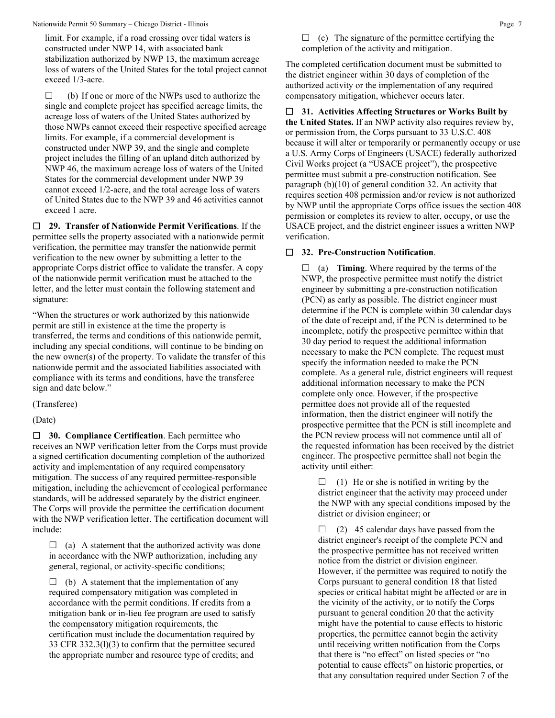limit. For example, if a road crossing over tidal waters is constructed under NWP 14, with associated bank stabilization authorized by NWP 13, the maximum acreage loss of waters of the United States for the total project cannot exceed 1/3-acre.

 $\Box$  (b) If one or more of the NWPs used to authorize the single and complete project has specified acreage limits, the acreage loss of waters of the United States authorized by those NWPs cannot exceed their respective specified acreage limits. For example, if a commercial development is constructed under NWP 39, and the single and complete project includes the filling of an upland ditch authorized by NWP 46, the maximum acreage loss of waters of the United States for the commercial development under NWP 39 cannot exceed 1/2-acre, and the total acreage loss of waters of United States due to the NWP 39 and 46 activities cannot exceed 1 acre.

 **29. Transfer of Nationwide Permit Verifications**. If the permittee sells the property associated with a nationwide permit verification, the permittee may transfer the nationwide permit verification to the new owner by submitting a letter to the appropriate Corps district office to validate the transfer. A copy of the nationwide permit verification must be attached to the letter, and the letter must contain the following statement and signature:

"When the structures or work authorized by this nationwide permit are still in existence at the time the property is transferred, the terms and conditions of this nationwide permit, including any special conditions, will continue to be binding on the new owner(s) of the property. To validate the transfer of this nationwide permit and the associated liabilities associated with compliance with its terms and conditions, have the transferee sign and date below."

(Transferee)

# (Date)

 **30. Compliance Certification**. Each permittee who receives an NWP verification letter from the Corps must provide a signed certification documenting completion of the authorized activity and implementation of any required compensatory mitigation. The success of any required permittee-responsible mitigation, including the achievement of ecological performance standards, will be addressed separately by the district engineer. The Corps will provide the permittee the certification document with the NWP verification letter. The certification document will include:

 $\Box$  (a) A statement that the authorized activity was done in accordance with the NWP authorization, including any general, regional, or activity-specific conditions;

 $\Box$  (b) A statement that the implementation of any required compensatory mitigation was completed in accordance with the permit conditions. If credits from a mitigation bank or in-lieu fee program are used to satisfy the compensatory mitigation requirements, the certification must include the documentation required by 33 CFR 332.3(l)(3) to confirm that the permittee secured the appropriate number and resource type of credits; and

 $\Box$  (c) The signature of the permittee certifying the completion of the activity and mitigation.

The completed certification document must be submitted to the district engineer within 30 days of completion of the authorized activity or the implementation of any required compensatory mitigation, whichever occurs later.

 **31. Activities Affecting Structures or Works Built by the United States.** If an NWP activity also requires review by, or permission from, the Corps pursuant to 33 U.S.C. 408 because it will alter or temporarily or permanently occupy or use a U.S. Army Corps of Engineers (USACE) federally authorized Civil Works project (a "USACE project"), the prospective permittee must submit a pre-construction notification. See paragraph (b)(10) of general condition 32. An activity that requires section 408 permission and/or review is not authorized by NWP until the appropriate Corps office issues the section 408 permission or completes its review to alter, occupy, or use the USACE project, and the district engineer issues a written NWP verification.

# **32. Pre-Construction Notification**.

 $\Box$  (a) **Timing**. Where required by the terms of the NWP, the prospective permittee must notify the district engineer by submitting a pre-construction notification (PCN) as early as possible. The district engineer must determine if the PCN is complete within 30 calendar days of the date of receipt and, if the PCN is determined to be incomplete, notify the prospective permittee within that 30 day period to request the additional information necessary to make the PCN complete. The request must specify the information needed to make the PCN complete. As a general rule, district engineers will request additional information necessary to make the PCN complete only once. However, if the prospective permittee does not provide all of the requested information, then the district engineer will notify the prospective permittee that the PCN is still incomplete and the PCN review process will not commence until all of the requested information has been received by the district engineer. The prospective permittee shall not begin the activity until either:

 $\Box$  (1) He or she is notified in writing by the district engineer that the activity may proceed under the NWP with any special conditions imposed by the district or division engineer; or

 $\Box$  (2) 45 calendar days have passed from the district engineer's receipt of the complete PCN and the prospective permittee has not received written notice from the district or division engineer. However, if the permittee was required to notify the Corps pursuant to general condition 18 that listed species or critical habitat might be affected or are in the vicinity of the activity, or to notify the Corps pursuant to general condition 20 that the activity might have the potential to cause effects to historic properties, the permittee cannot begin the activity until receiving written notification from the Corps that there is "no effect" on listed species or "no potential to cause effects" on historic properties, or that any consultation required under Section 7 of the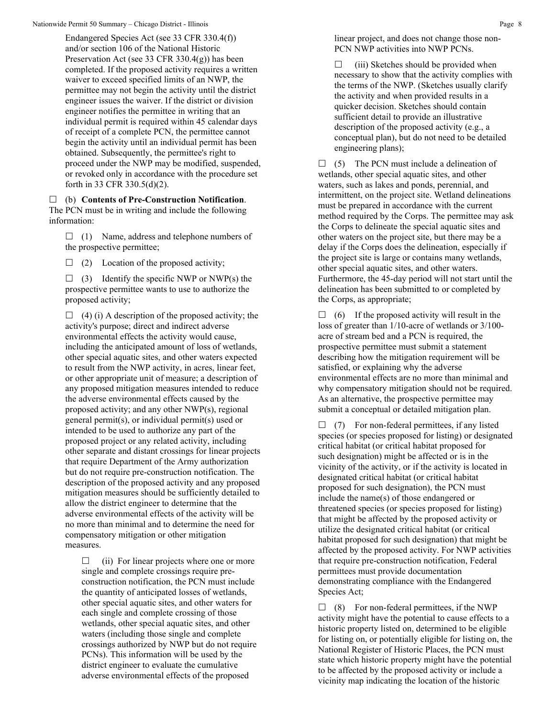Endangered Species Act (see 33 CFR 330.4(f)) and/or section 106 of the National Historic Preservation Act (see 33 CFR 330.4(g)) has been completed. If the proposed activity requires a written waiver to exceed specified limits of an NWP, the permittee may not begin the activity until the district engineer issues the waiver. If the district or division engineer notifies the permittee in writing that an individual permit is required within 45 calendar days of receipt of a complete PCN, the permittee cannot begin the activity until an individual permit has been obtained. Subsequently, the permittee's right to proceed under the NWP may be modified, suspended, or revoked only in accordance with the procedure set forth in 33 CFR 330.5(d)(2).

 (b) **Contents of Pre-Construction Notification**. The PCN must be in writing and include the following information:

 $\Box$  (1) Name, address and telephone numbers of the prospective permittee;

 $\Box$  (2) Location of the proposed activity;

 $\Box$  (3) Identify the specific NWP or NWP(s) the prospective permittee wants to use to authorize the proposed activity;

 $\Box$  (4) (i) A description of the proposed activity; the activity's purpose; direct and indirect adverse environmental effects the activity would cause, including the anticipated amount of loss of wetlands, other special aquatic sites, and other waters expected to result from the NWP activity, in acres, linear feet, or other appropriate unit of measure; a description of any proposed mitigation measures intended to reduce the adverse environmental effects caused by the proposed activity; and any other NWP(s), regional general permit(s), or individual permit(s) used or intended to be used to authorize any part of the proposed project or any related activity, including other separate and distant crossings for linear projects that require Department of the Army authorization but do not require pre-construction notification. The description of the proposed activity and any proposed mitigation measures should be sufficiently detailed to allow the district engineer to determine that the adverse environmental effects of the activity will be no more than minimal and to determine the need for compensatory mitigation or other mitigation measures.

 $\Box$  (ii) For linear projects where one or more single and complete crossings require preconstruction notification, the PCN must include the quantity of anticipated losses of wetlands, other special aquatic sites, and other waters for each single and complete crossing of those wetlands, other special aquatic sites, and other waters (including those single and complete crossings authorized by NWP but do not require PCNs). This information will be used by the district engineer to evaluate the cumulative adverse environmental effects of the proposed

linear project, and does not change those non-PCN NWP activities into NWP PCNs.

 $\Box$  (iii) Sketches should be provided when necessary to show that the activity complies with the terms of the NWP. (Sketches usually clarify the activity and when provided results in a quicker decision. Sketches should contain sufficient detail to provide an illustrative description of the proposed activity (e.g., a conceptual plan), but do not need to be detailed engineering plans);

 $\Box$  (5) The PCN must include a delineation of wetlands, other special aquatic sites, and other waters, such as lakes and ponds, perennial, and intermittent, on the project site. Wetland delineations must be prepared in accordance with the current method required by the Corps. The permittee may ask the Corps to delineate the special aquatic sites and other waters on the project site, but there may be a delay if the Corps does the delineation, especially if the project site is large or contains many wetlands, other special aquatic sites, and other waters. Furthermore, the 45-day period will not start until the delineation has been submitted to or completed by the Corps, as appropriate;

 $\Box$  (6) If the proposed activity will result in the loss of greater than 1/10-acre of wetlands or 3/100 acre of stream bed and a PCN is required, the prospective permittee must submit a statement describing how the mitigation requirement will be satisfied, or explaining why the adverse environmental effects are no more than minimal and why compensatory mitigation should not be required. As an alternative, the prospective permittee may submit a conceptual or detailed mitigation plan.

 $\Box$  (7) For non-federal permittees, if any listed species (or species proposed for listing) or designated critical habitat (or critical habitat proposed for such designation) might be affected or is in the vicinity of the activity, or if the activity is located in designated critical habitat (or critical habitat proposed for such designation), the PCN must include the name(s) of those endangered or threatened species (or species proposed for listing) that might be affected by the proposed activity or utilize the designated critical habitat (or critical habitat proposed for such designation) that might be affected by the proposed activity. For NWP activities that require pre-construction notification, Federal permittees must provide documentation demonstrating compliance with the Endangered Species Act;

 $\Box$  (8) For non-federal permittees, if the NWP activity might have the potential to cause effects to a historic property listed on, determined to be eligible for listing on, or potentially eligible for listing on, the National Register of Historic Places, the PCN must state which historic property might have the potential to be affected by the proposed activity or include a vicinity map indicating the location of the historic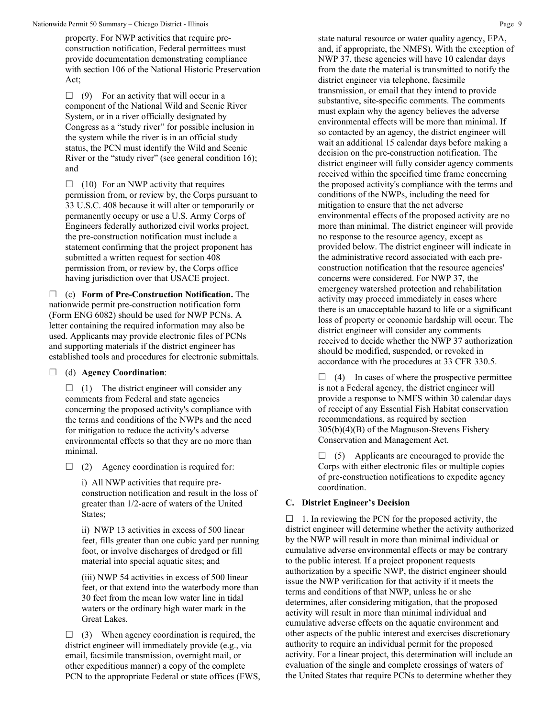property. For NWP activities that require preconstruction notification, Federal permittees must provide documentation demonstrating compliance with section 106 of the National Historic Preservation Act;

 $\Box$  (9) For an activity that will occur in a component of the National Wild and Scenic River System, or in a river officially designated by Congress as a "study river" for possible inclusion in the system while the river is in an official study status, the PCN must identify the Wild and Scenic River or the "study river" (see general condition 16); and

 $\Box$  (10) For an NWP activity that requires permission from, or review by, the Corps pursuant to 33 U.S.C. 408 because it will alter or temporarily or permanently occupy or use a U.S. Army Corps of Engineers federally authorized civil works project, the pre-construction notification must include a statement confirming that the project proponent has submitted a written request for section 408 permission from, or review by, the Corps office having jurisdiction over that USACE project.

 (c) **Form of Pre-Construction Notification.** The nationwide permit pre-construction notification form (Form ENG 6082) should be used for NWP PCNs. A letter containing the required information may also be used. Applicants may provide electronic files of PCNs and supporting materials if the district engineer has established tools and procedures for electronic submittals.

(d) **Agency Coordination**:

 $\Box$  (1) The district engineer will consider any comments from Federal and state agencies concerning the proposed activity's compliance with the terms and conditions of the NWPs and the need for mitigation to reduce the activity's adverse environmental effects so that they are no more than minimal.

 $\Box$  (2) Agency coordination is required for:

i) All NWP activities that require preconstruction notification and result in the loss of greater than 1/2-acre of waters of the United States;

ii) NWP 13 activities in excess of 500 linear feet, fills greater than one cubic yard per running foot, or involve discharges of dredged or fill material into special aquatic sites; and

(iii) NWP 54 activities in excess of 500 linear feet, or that extend into the waterbody more than 30 feet from the mean low water line in tidal waters or the ordinary high water mark in the Great Lakes.

 $\Box$  (3) When agency coordination is required, the district engineer will immediately provide (e.g., via email, facsimile transmission, overnight mail, or other expeditious manner) a copy of the complete PCN to the appropriate Federal or state offices (FWS, state natural resource or water quality agency, EPA, and, if appropriate, the NMFS). With the exception of NWP 37, these agencies will have 10 calendar days from the date the material is transmitted to notify the district engineer via telephone, facsimile transmission, or email that they intend to provide substantive, site-specific comments. The comments must explain why the agency believes the adverse environmental effects will be more than minimal. If so contacted by an agency, the district engineer will wait an additional 15 calendar days before making a decision on the pre-construction notification. The district engineer will fully consider agency comments received within the specified time frame concerning the proposed activity's compliance with the terms and conditions of the NWPs, including the need for mitigation to ensure that the net adverse environmental effects of the proposed activity are no more than minimal. The district engineer will provide no response to the resource agency, except as provided below. The district engineer will indicate in the administrative record associated with each preconstruction notification that the resource agencies' concerns were considered. For NWP 37, the emergency watershed protection and rehabilitation activity may proceed immediately in cases where there is an unacceptable hazard to life or a significant loss of property or economic hardship will occur. The district engineer will consider any comments received to decide whether the NWP 37 authorization should be modified, suspended, or revoked in accordance with the procedures at 33 CFR 330.5.

 $\Box$  (4) In cases of where the prospective permittee is not a Federal agency, the district engineer will provide a response to NMFS within 30 calendar days of receipt of any Essential Fish Habitat conservation recommendations, as required by section 305(b)(4)(B) of the Magnuson-Stevens Fishery Conservation and Management Act.

 $\Box$  (5) Applicants are encouraged to provide the Corps with either electronic files or multiple copies of pre-construction notifications to expedite agency coordination.

#### **C. District Engineer's Decision**

 $\Box$  1. In reviewing the PCN for the proposed activity, the district engineer will determine whether the activity authorized by the NWP will result in more than minimal individual or cumulative adverse environmental effects or may be contrary to the public interest. If a project proponent requests authorization by a specific NWP, the district engineer should issue the NWP verification for that activity if it meets the terms and conditions of that NWP, unless he or she determines, after considering mitigation, that the proposed activity will result in more than minimal individual and cumulative adverse effects on the aquatic environment and other aspects of the public interest and exercises discretionary authority to require an individual permit for the proposed activity. For a linear project, this determination will include an evaluation of the single and complete crossings of waters of the United States that require PCNs to determine whether they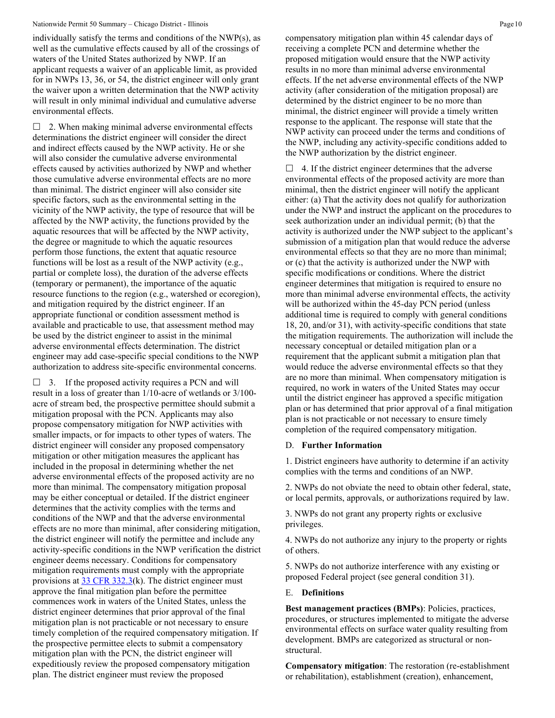individually satisfy the terms and conditions of the NWP(s), as well as the cumulative effects caused by all of the crossings of waters of the United States authorized by NWP. If an applicant requests a waiver of an applicable limit, as provided for in NWPs 13, 36, or 54, the district engineer will only grant the waiver upon a written determination that the NWP activity will result in only minimal individual and cumulative adverse environmental effects.

 $\Box$  2. When making minimal adverse environmental effects determinations the district engineer will consider the direct and indirect effects caused by the NWP activity. He or she will also consider the cumulative adverse environmental effects caused by activities authorized by NWP and whether those cumulative adverse environmental effects are no more than minimal. The district engineer will also consider site specific factors, such as the environmental setting in the vicinity of the NWP activity, the type of resource that will be affected by the NWP activity, the functions provided by the aquatic resources that will be affected by the NWP activity, the degree or magnitude to which the aquatic resources perform those functions, the extent that aquatic resource functions will be lost as a result of the NWP activity (e.g., partial or complete loss), the duration of the adverse effects (temporary or permanent), the importance of the aquatic resource functions to the region (e.g., watershed or ecoregion), and mitigation required by the district engineer. If an appropriate functional or condition assessment method is available and practicable to use, that assessment method may be used by the district engineer to assist in the minimal adverse environmental effects determination. The district engineer may add case-specific special conditions to the NWP authorization to address site-specific environmental concerns.

 $\Box$  3. If the proposed activity requires a PCN and will result in a loss of greater than 1/10-acre of wetlands or 3/100 acre of stream bed, the prospective permittee should submit a mitigation proposal with the PCN. Applicants may also propose compensatory mitigation for NWP activities with smaller impacts, or for impacts to other types of waters. The district engineer will consider any proposed compensatory mitigation or other mitigation measures the applicant has included in the proposal in determining whether the net adverse environmental effects of the proposed activity are no more than minimal. The compensatory mitigation proposal may be either conceptual or detailed. If the district engineer determines that the activity complies with the terms and conditions of the NWP and that the adverse environmental effects are no more than minimal, after considering mitigation, the district engineer will notify the permittee and include any activity-specific conditions in the NWP verification the district engineer deems necessary. Conditions for compensatory mitigation requirements must comply with the appropriate provisions at  $33$  CFR  $332.3(k)$ . The district engineer must approve the final mitigation plan before the permittee commences work in waters of the United States, unless the district engineer determines that prior approval of the final mitigation plan is not practicable or not necessary to ensure timely completion of the required compensatory mitigation. If the prospective permittee elects to submit a compensatory mitigation plan with the PCN, the district engineer will expeditiously review the proposed compensatory mitigation plan. The district engineer must review the proposed

compensatory mitigation plan within 45 calendar days of receiving a complete PCN and determine whether the proposed mitigation would ensure that the NWP activity results in no more than minimal adverse environmental effects. If the net adverse environmental effects of the NWP activity (after consideration of the mitigation proposal) are determined by the district engineer to be no more than minimal, the district engineer will provide a timely written response to the applicant. The response will state that the NWP activity can proceed under the terms and conditions of the NWP, including any activity-specific conditions added to the NWP authorization by the district engineer.

 $\Box$  4. If the district engineer determines that the adverse environmental effects of the proposed activity are more than minimal, then the district engineer will notify the applicant either: (a) That the activity does not qualify for authorization under the NWP and instruct the applicant on the procedures to seek authorization under an individual permit; (b) that the activity is authorized under the NWP subject to the applicant's submission of a mitigation plan that would reduce the adverse environmental effects so that they are no more than minimal; or (c) that the activity is authorized under the NWP with specific modifications or conditions. Where the district engineer determines that mitigation is required to ensure no more than minimal adverse environmental effects, the activity will be authorized within the 45-day PCN period (unless additional time is required to comply with general conditions 18, 20, and/or 31), with activity-specific conditions that state the mitigation requirements. The authorization will include the necessary conceptual or detailed mitigation plan or a requirement that the applicant submit a mitigation plan that would reduce the adverse environmental effects so that they are no more than minimal. When compensatory mitigation is required, no work in waters of the United States may occur until the district engineer has approved a specific mitigation plan or has determined that prior approval of a final mitigation plan is not practicable or not necessary to ensure timely completion of the required compensatory mitigation.

#### D. **Further Information**

1. District engineers have authority to determine if an activity complies with the terms and conditions of an NWP.

2. NWPs do not obviate the need to obtain other federal, state, or local permits, approvals, or authorizations required by law.

3. NWPs do not grant any property rights or exclusive privileges.

4. NWPs do not authorize any injury to the property or rights of others.

5. NWPs do not authorize interference with any existing or proposed Federal project (see general condition 31).

#### E. **Definitions**

**Best management practices (BMPs)**: Policies, practices, procedures, or structures implemented to mitigate the adverse environmental effects on surface water quality resulting from development. BMPs are categorized as structural or nonstructural.

**Compensatory mitigation**: The restoration (re-establishment or rehabilitation), establishment (creation), enhancement,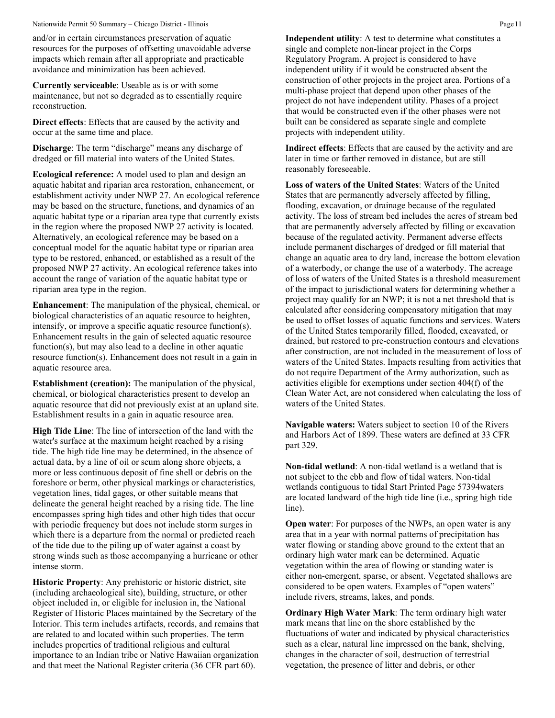and/or in certain circumstances preservation of aquatic resources for the purposes of offsetting unavoidable adverse impacts which remain after all appropriate and practicable avoidance and minimization has been achieved.

**Currently serviceable**: Useable as is or with some maintenance, but not so degraded as to essentially require reconstruction.

**Direct effects**: Effects that are caused by the activity and occur at the same time and place.

**Discharge:** The term "discharge" means any discharge of dredged or fill material into waters of the United States.

**Ecological reference:** A model used to plan and design an aquatic habitat and riparian area restoration, enhancement, or establishment activity under NWP 27. An ecological reference may be based on the structure, functions, and dynamics of an aquatic habitat type or a riparian area type that currently exists in the region where the proposed NWP 27 activity is located. Alternatively, an ecological reference may be based on a conceptual model for the aquatic habitat type or riparian area type to be restored, enhanced, or established as a result of the proposed NWP 27 activity. An ecological reference takes into account the range of variation of the aquatic habitat type or riparian area type in the region.

**Enhancement**: The manipulation of the physical, chemical, or biological characteristics of an aquatic resource to heighten, intensify, or improve a specific aquatic resource function(s). Enhancement results in the gain of selected aquatic resource function(s), but may also lead to a decline in other aquatic resource function(s). Enhancement does not result in a gain in aquatic resource area.

**Establishment (creation):** The manipulation of the physical, chemical, or biological characteristics present to develop an aquatic resource that did not previously exist at an upland site. Establishment results in a gain in aquatic resource area.

**High Tide Line**: The line of intersection of the land with the water's surface at the maximum height reached by a rising tide. The high tide line may be determined, in the absence of actual data, by a line of oil or scum along shore objects, a more or less continuous deposit of fine shell or debris on the foreshore or berm, other physical markings or characteristics, vegetation lines, tidal gages, or other suitable means that delineate the general height reached by a rising tide. The line encompasses spring high tides and other high tides that occur with periodic frequency but does not include storm surges in which there is a departure from the normal or predicted reach of the tide due to the piling up of water against a coast by strong winds such as those accompanying a hurricane or other intense storm.

**Historic Property**: Any prehistoric or historic district, site (including archaeological site), building, structure, or other object included in, or eligible for inclusion in, the National Register of Historic Places maintained by the Secretary of the Interior. This term includes artifacts, records, and remains that are related to and located within such properties. The term includes properties of traditional religious and cultural importance to an Indian tribe or Native Hawaiian organization and that meet the National Register criteria (36 CFR part 60).

**Indirect effects**: Effects that are caused by the activity and are later in time or farther removed in distance, but are still reasonably foreseeable.

built can be considered as separate single and complete

projects with independent utility.

**Loss of waters of the United States**: Waters of the United States that are permanently adversely affected by filling, flooding, excavation, or drainage because of the regulated activity. The loss of stream bed includes the acres of stream bed that are permanently adversely affected by filling or excavation because of the regulated activity. Permanent adverse effects include permanent discharges of dredged or fill material that change an aquatic area to dry land, increase the bottom elevation of a waterbody, or change the use of a waterbody. The acreage of loss of waters of the United States is a threshold measurement of the impact to jurisdictional waters for determining whether a project may qualify for an NWP; it is not a net threshold that is calculated after considering compensatory mitigation that may be used to offset losses of aquatic functions and services. Waters of the United States temporarily filled, flooded, excavated, or drained, but restored to pre-construction contours and elevations after construction, are not included in the measurement of loss of waters of the United States. Impacts resulting from activities that do not require Department of the Army authorization, such as activities eligible for exemptions under section 404(f) of the Clean Water Act, are not considered when calculating the loss of waters of the United States.

**Navigable waters:** Waters subject to section 10 of the Rivers and Harbors Act of 1899. These waters are defined at 33 CFR part 329.

**Non-tidal wetland**: A non-tidal wetland is a wetland that is not subject to the ebb and flow of tidal waters. Non-tidal wetlands contiguous to tidal Start Printed Page 57394waters are located landward of the high tide line (i.e., spring high tide line).

**Open water**: For purposes of the NWPs, an open water is any area that in a year with normal patterns of precipitation has water flowing or standing above ground to the extent that an ordinary high water mark can be determined. Aquatic vegetation within the area of flowing or standing water is either non-emergent, sparse, or absent. Vegetated shallows are considered to be open waters. Examples of "open waters" include rivers, streams, lakes, and ponds.

**Ordinary High Water Mark**: The term ordinary high water mark means that line on the shore established by the fluctuations of water and indicated by physical characteristics such as a clear, natural line impressed on the bank, shelving, changes in the character of soil, destruction of terrestrial vegetation, the presence of litter and debris, or other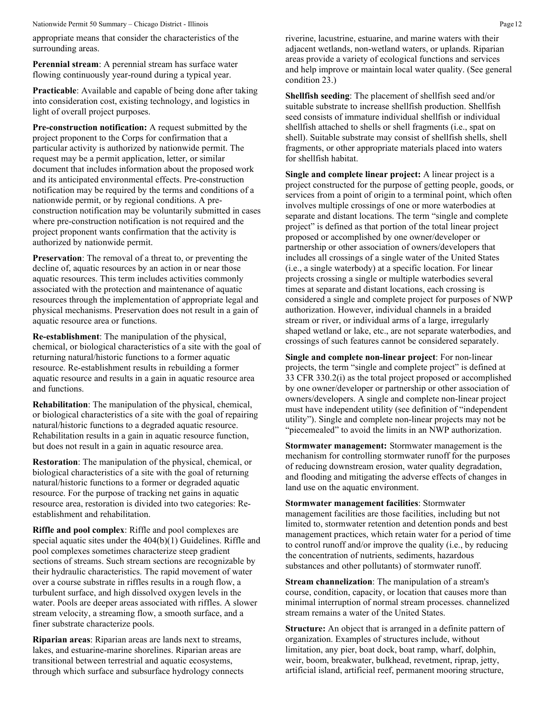appropriate means that consider the characteristics of the surrounding areas.

**Perennial stream**: A perennial stream has surface water flowing continuously year-round during a typical year.

**Practicable**: Available and capable of being done after taking into consideration cost, existing technology, and logistics in light of overall project purposes.

**Pre-construction notification:** A request submitted by the project proponent to the Corps for confirmation that a particular activity is authorized by nationwide permit. The request may be a permit application, letter, or similar document that includes information about the proposed work and its anticipated environmental effects. Pre-construction notification may be required by the terms and conditions of a nationwide permit, or by regional conditions. A preconstruction notification may be voluntarily submitted in cases where pre-construction notification is not required and the project proponent wants confirmation that the activity is authorized by nationwide permit.

**Preservation**: The removal of a threat to, or preventing the decline of, aquatic resources by an action in or near those aquatic resources. This term includes activities commonly associated with the protection and maintenance of aquatic resources through the implementation of appropriate legal and physical mechanisms. Preservation does not result in a gain of aquatic resource area or functions.

**Re-establishment**: The manipulation of the physical, chemical, or biological characteristics of a site with the goal of returning natural/historic functions to a former aquatic resource. Re-establishment results in rebuilding a former aquatic resource and results in a gain in aquatic resource area and functions.

**Rehabilitation**: The manipulation of the physical, chemical, or biological characteristics of a site with the goal of repairing natural/historic functions to a degraded aquatic resource. Rehabilitation results in a gain in aquatic resource function, but does not result in a gain in aquatic resource area.

**Restoration**: The manipulation of the physical, chemical, or biological characteristics of a site with the goal of returning natural/historic functions to a former or degraded aquatic resource. For the purpose of tracking net gains in aquatic resource area, restoration is divided into two categories: Reestablishment and rehabilitation.

**Riffle and pool complex**: Riffle and pool complexes are special aquatic sites under the 404(b)(1) Guidelines. Riffle and pool complexes sometimes characterize steep gradient sections of streams. Such stream sections are recognizable by their hydraulic characteristics. The rapid movement of water over a course substrate in riffles results in a rough flow, a turbulent surface, and high dissolved oxygen levels in the water. Pools are deeper areas associated with riffles. A slower stream velocity, a streaming flow, a smooth surface, and a finer substrate characterize pools.

**Riparian areas**: Riparian areas are lands next to streams, lakes, and estuarine-marine shorelines. Riparian areas are transitional between terrestrial and aquatic ecosystems, through which surface and subsurface hydrology connects riverine, lacustrine, estuarine, and marine waters with their adjacent wetlands, non-wetland waters, or uplands. Riparian areas provide a variety of ecological functions and services and help improve or maintain local water quality. (See general condition 23.)

**Shellfish seeding**: The placement of shellfish seed and/or suitable substrate to increase shellfish production. Shellfish seed consists of immature individual shellfish or individual shellfish attached to shells or shell fragments (i.e., spat on shell). Suitable substrate may consist of shellfish shells, shell fragments, or other appropriate materials placed into waters for shellfish habitat.

**Single and complete linear project:** A linear project is a project constructed for the purpose of getting people, goods, or services from a point of origin to a terminal point, which often involves multiple crossings of one or more waterbodies at separate and distant locations. The term "single and complete project" is defined as that portion of the total linear project proposed or accomplished by one owner/developer or partnership or other association of owners/developers that includes all crossings of a single water of the United States (i.e., a single waterbody) at a specific location. For linear projects crossing a single or multiple waterbodies several times at separate and distant locations, each crossing is considered a single and complete project for purposes of NWP authorization. However, individual channels in a braided stream or river, or individual arms of a large, irregularly shaped wetland or lake, etc., are not separate waterbodies, and crossings of such features cannot be considered separately.

**Single and complete non-linear project**: For non-linear projects, the term "single and complete project" is defined at 33 CFR 330.2(i) as the total project proposed or accomplished by one owner/developer or partnership or other association of owners/developers. A single and complete non-linear project must have independent utility (see definition of "independent utility"). Single and complete non-linear projects may not be "piecemealed" to avoid the limits in an NWP authorization.

**Stormwater management:** Stormwater management is the mechanism for controlling stormwater runoff for the purposes of reducing downstream erosion, water quality degradation, and flooding and mitigating the adverse effects of changes in land use on the aquatic environment.

**Stormwater management facilities**: Stormwater management facilities are those facilities, including but not limited to, stormwater retention and detention ponds and best management practices, which retain water for a period of time to control runoff and/or improve the quality (i.e., by reducing the concentration of nutrients, sediments, hazardous substances and other pollutants) of stormwater runoff.

**Stream channelization**: The manipulation of a stream's course, condition, capacity, or location that causes more than minimal interruption of normal stream processes. channelized stream remains a water of the United States.

**Structure:** An object that is arranged in a definite pattern of organization. Examples of structures include, without limitation, any pier, boat dock, boat ramp, wharf, dolphin, weir, boom, breakwater, bulkhead, revetment, riprap, jetty, artificial island, artificial reef, permanent mooring structure,